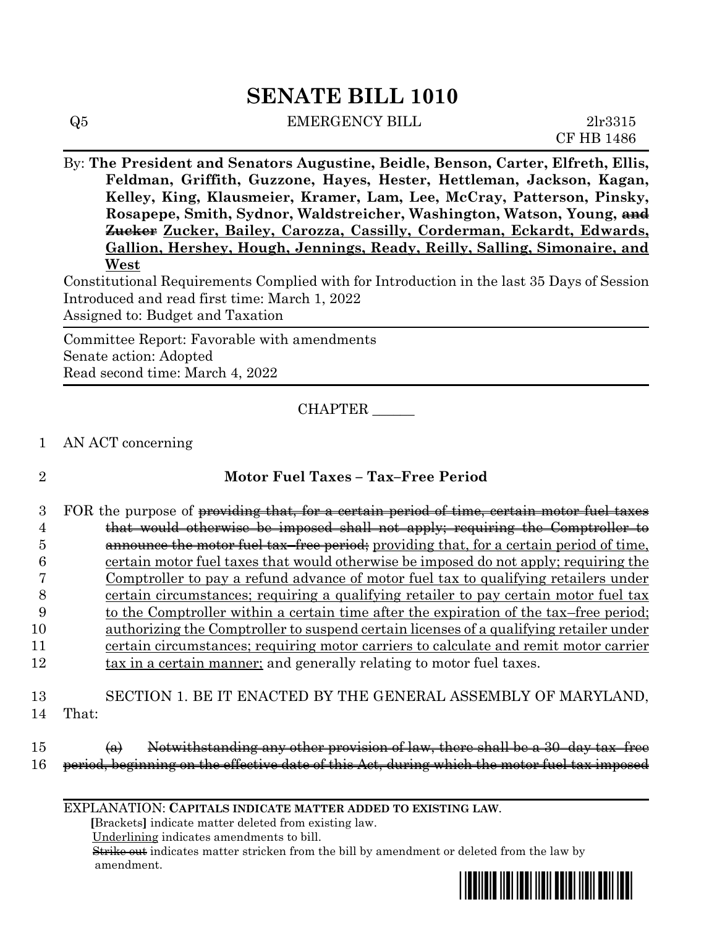# **SENATE BILL 1010**

| $\operatorname{Q5}$ | <b>EMERGENCY BILL</b> | 2lr3315 |
|---------------------|-----------------------|---------|

CF HB 1486

By: **The President and Senators Augustine, Beidle, Benson, Carter, Elfreth, Ellis, Feldman, Griffith, Guzzone, Hayes, Hester, Hettleman, Jackson, Kagan, Kelley, King, Klausmeier, Kramer, Lam, Lee, McCray, Patterson, Pinsky, Rosapepe, Smith, Sydnor, Waldstreicher, Washington, Watson, Young, and Zucker Zucker, Bailey, Carozza, Cassilly, Corderman, Eckardt, Edwards, Gallion, Hershey, Hough, Jennings, Ready, Reilly, Salling, Simonaire, and West**

Constitutional Requirements Complied with for Introduction in the last 35 Days of Session Introduced and read first time: March 1, 2022 Assigned to: Budget and Taxation

Committee Report: Favorable with amendments Senate action: Adopted Read second time: March 4, 2022

CHAPTER \_\_\_\_\_\_

1 AN ACT concerning

## 2 **Motor Fuel Taxes – Tax–Free Period**

3 FOR the purpose of providing that, for a certain period of time, certain motor fuel taxes that would otherwise be imposed shall not apply; requiring the Comptroller to **announce the motor fuel tax–free period**; providing that, for a certain period of time, certain motor fuel taxes that would otherwise be imposed do not apply; requiring the Comptroller to pay a refund advance of motor fuel tax to qualifying retailers under certain circumstances; requiring a qualifying retailer to pay certain motor fuel tax 9 to the Comptroller within a certain time after the expiration of the tax–free period; authorizing the Comptroller to suspend certain licenses of a qualifying retailer under certain circumstances; requiring motor carriers to calculate and remit motor carrier 12 tax in a certain manner; and generally relating to motor fuel taxes.

13 SECTION 1. BE IT ENACTED BY THE GENERAL ASSEMBLY OF MARYLAND, 14 That:

#### $15$  (a) Notwithstanding any other provision of law, there shall be a 30-day tax–free 16 period, beginning on the effective date of this Act, during which the motor fuel tax imposed

EXPLANATION: **CAPITALS INDICATE MATTER ADDED TO EXISTING LAW**.

 **[**Brackets**]** indicate matter deleted from existing law.

Underlining indicates amendments to bill.

 Strike out indicates matter stricken from the bill by amendment or deleted from the law by amendment.

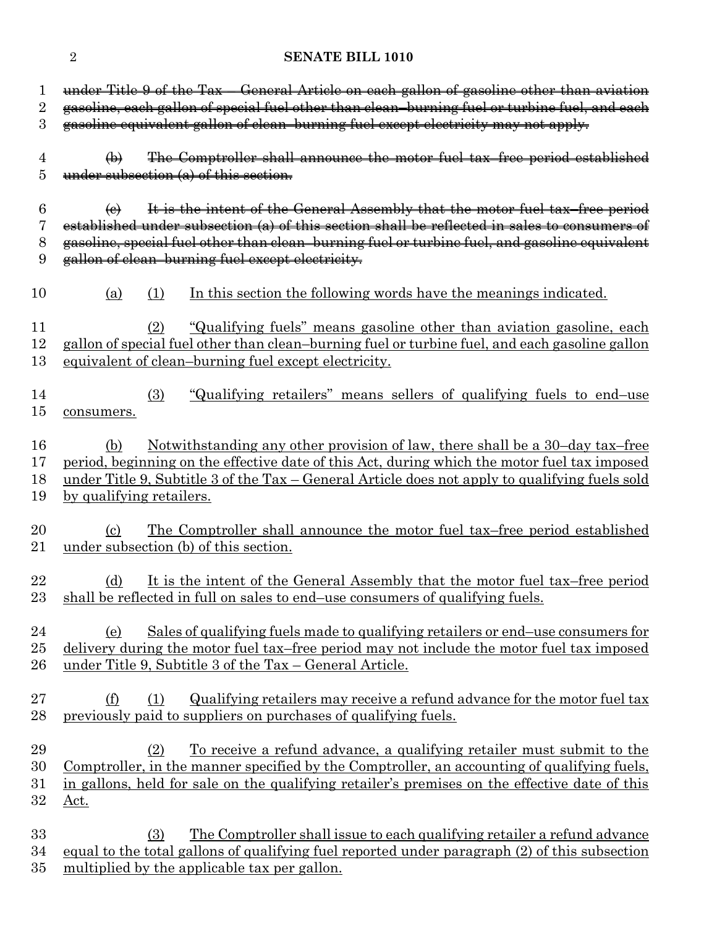### 2 **SENATE BILL 1010**

| 1              |                            | under Title 9 of the Tax - General Article on each gallon of gasoline other than aviation             |
|----------------|----------------------------|-------------------------------------------------------------------------------------------------------|
| $\overline{2}$ |                            | gasoline, each gallon of special fuel other than clean-burning fuel or turbine fuel, and each         |
| 3              |                            | gasoline equivalent gallon of clean-burning fuel except electricity may not apply.                    |
|                |                            |                                                                                                       |
| 4              | $\bigoplus$                | The Comptroller shall announce the motor fuel tax-free period established                             |
| 5              |                            | under subsection (a) of this section.                                                                 |
|                |                            |                                                                                                       |
| 6              | $\Theta$                   | It is the intent of the General Assembly that the motor fuel tax-free period                          |
| 7              |                            | established under subsection (a) of this section shall be reflected in sales to consumers of          |
| 8              |                            | gasoline, special fuel other than clean-burning fuel or turbine fuel, and gasoline equivalent         |
| 9              |                            | gallon of clean-burning fuel except electricity.                                                      |
|                |                            |                                                                                                       |
| 10             | (a)                        | In this section the following words have the meanings indicated.<br>(1)                               |
|                |                            |                                                                                                       |
| 11             |                            | <u>"Qualifying fuels" means gasoline other than aviation gasoline, each</u><br>(2)                    |
| 12             |                            | gallon of special fuel other than clean-burning fuel or turbine fuel, and each gasoline gallon        |
| 13             |                            |                                                                                                       |
|                |                            | equivalent of clean-burning fuel except electricity.                                                  |
|                |                            |                                                                                                       |
| 14             |                            | "Qualifying retailers" means sellers of qualifying fuels to end-use<br>(3)                            |
| $15\,$         | consumers.                 |                                                                                                       |
|                |                            |                                                                                                       |
| 16             | (b)                        | Notwithstanding any other provision of law, there shall be a 30-day tax-free                          |
| 17             |                            | period, beginning on the effective date of this Act, during which the motor fuel tax imposed          |
| 18             |                            | <u>under Title 9, Subtitle 3 of the Tax – General Article does not apply to qualifying fuels sold</u> |
| 19             | by qualifying retailers.   |                                                                                                       |
|                |                            |                                                                                                       |
| 20             | $\left( \mathrm{e}\right)$ | <u>The Comptroller shall announce the motor fuel tax–free period established</u>                      |
| 21             |                            | under subsection (b) of this section.                                                                 |
|                |                            |                                                                                                       |
| 22             | (d)                        | It is the intent of the General Assembly that the motor fuel tax-free period                          |
| 23             |                            | shall be reflected in full on sales to end—use consumers of qualifying fuels.                         |
|                |                            |                                                                                                       |
| 24             | (e)                        | Sales of qualifying fuels made to qualifying retailers or end-use consumers for                       |
| $25\,$         |                            | delivery during the motor fuel tax-free period may not include the motor fuel tax imposed             |
| $26\,$         |                            | under Title 9, Subtitle 3 of the Tax - General Article.                                               |
|                |                            |                                                                                                       |
| $27\,$         | <u>(f)</u>                 | Qualifying retailers may receive a refund advance for the motor fuel tax<br>(1)                       |
| 28             |                            | previously paid to suppliers on purchases of qualifying fuels.                                        |
|                |                            |                                                                                                       |
| 29             |                            | <u>To receive a refund advance, a qualifying retailer must submit to the</u><br>(2)                   |
| 30             |                            | Comptroller, in the manner specified by the Comptroller, an accounting of qualifying fuels,           |
| $31\,$         |                            | in gallons, held for sale on the qualifying retailer's premises on the effective date of this         |
| 32             | Act.                       |                                                                                                       |
|                |                            |                                                                                                       |
| 33             |                            | The Comptroller shall issue to each qualifying retailer a refund advance<br>(3)                       |
|                |                            |                                                                                                       |
| 34             |                            | equal to the total gallons of qualifying fuel reported under paragraph (2) of this subsection         |
| $35\,$         |                            | multiplied by the applicable tax per gallon.                                                          |